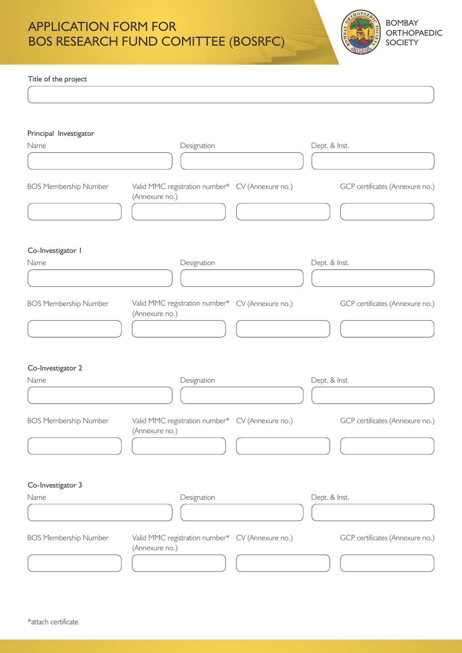

Title of the project

| Principal Investigator       |                                                                    |               |                                 |
|------------------------------|--------------------------------------------------------------------|---------------|---------------------------------|
| Name                         | Designation                                                        | Dept. & Inst. |                                 |
|                              |                                                                    |               |                                 |
| <b>BOS Membership Number</b> | Valid MMC registration number* CV (Annexure no.)<br>(Annexure no.) |               | GCP certificates (Annexure no.) |
| Co-Investigator I            |                                                                    |               |                                 |
| Name                         | Designation                                                        | Dept. & Inst. |                                 |
|                              |                                                                    |               |                                 |
| <b>BOS Membership Number</b> | Valid MMC registration number* CV (Annexure no.)<br>(Annexure no.) |               | GCP certificates (Annexure no.) |
|                              |                                                                    |               |                                 |
| Co-Investigator 2            |                                                                    |               |                                 |
| Name                         | Designation                                                        | Dept. & Inst. |                                 |
| <b>BOS Membership Number</b> | Valid MMC registration number* CV (Annexure no.)<br>(Annexure no.) |               | GCP certificates (Annexure no.) |
|                              |                                                                    |               |                                 |
| Co-Investigator 3            |                                                                    |               |                                 |
| Name                         | Designation                                                        | Dept. & Inst. |                                 |
|                              |                                                                    |               |                                 |
| <b>BOS Membership Number</b> | Valid MMC registration number* CV (Annexure no.)<br>(Annexure no.) |               | GCP certificates (Annexure no.) |
|                              |                                                                    |               |                                 |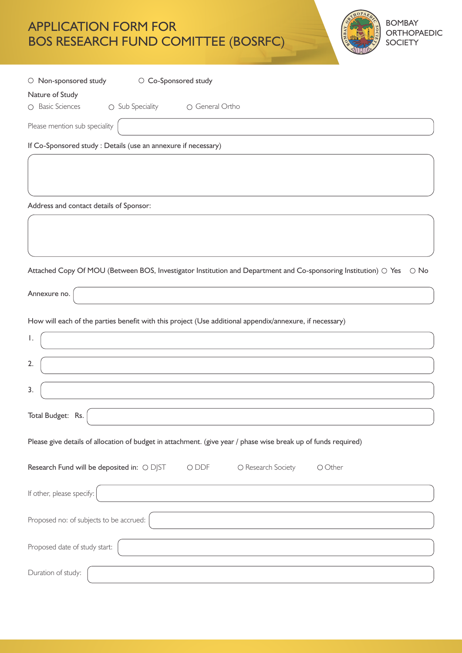| O Non-sponsored study                                                                                          | O Co-Sponsored study |                 |                    |                                                                                                                 |            |
|----------------------------------------------------------------------------------------------------------------|----------------------|-----------------|--------------------|-----------------------------------------------------------------------------------------------------------------|------------|
| Nature of Study                                                                                                |                      |                 |                    |                                                                                                                 |            |
| O Basic Sciences                                                                                               | ○ Sub Speciality     | O General Ortho |                    |                                                                                                                 |            |
| Please mention sub speciality                                                                                  |                      |                 |                    |                                                                                                                 |            |
| If Co-Sponsored study : Details (use an annexure if necessary)                                                 |                      |                 |                    |                                                                                                                 |            |
|                                                                                                                |                      |                 |                    |                                                                                                                 |            |
|                                                                                                                |                      |                 |                    |                                                                                                                 |            |
| Address and contact details of Sponsor:                                                                        |                      |                 |                    |                                                                                                                 |            |
|                                                                                                                |                      |                 |                    |                                                                                                                 |            |
|                                                                                                                |                      |                 |                    |                                                                                                                 |            |
|                                                                                                                |                      |                 |                    |                                                                                                                 |            |
|                                                                                                                |                      |                 |                    | Attached Copy Of MOU (Between BOS, Investigator Institution and Department and Co-sponsoring Institution) O Yes | $\circ$ No |
| Annexure no.                                                                                                   |                      |                 |                    |                                                                                                                 |            |
| How will each of the parties benefit with this project (Use additional appendix/annexure, if necessary)        |                      |                 |                    |                                                                                                                 |            |
| Ι.                                                                                                             |                      |                 |                    |                                                                                                                 |            |
|                                                                                                                |                      |                 |                    |                                                                                                                 |            |
| 2.                                                                                                             |                      |                 |                    |                                                                                                                 |            |
|                                                                                                                |                      |                 |                    |                                                                                                                 |            |
| 3.                                                                                                             |                      |                 |                    |                                                                                                                 |            |
| Total Budget: Rs.                                                                                              |                      |                 |                    |                                                                                                                 |            |
| Please give details of allocation of budget in attachment. (give year / phase wise break up of funds required) |                      |                 |                    |                                                                                                                 |            |
| Research Fund will be deposited in: O DJST                                                                     |                      | O DDF           | O Research Society | O Other                                                                                                         |            |
| If other, please specify:                                                                                      |                      |                 |                    |                                                                                                                 |            |
| Proposed no: of subjects to be accrued:                                                                        |                      |                 |                    |                                                                                                                 |            |
| Proposed date of study start:                                                                                  |                      |                 |                    |                                                                                                                 |            |
| Duration of study:                                                                                             |                      |                 |                    |                                                                                                                 |            |

BOMBAY ORTHOPAEDIC **SOCIETY** 

 $OPA$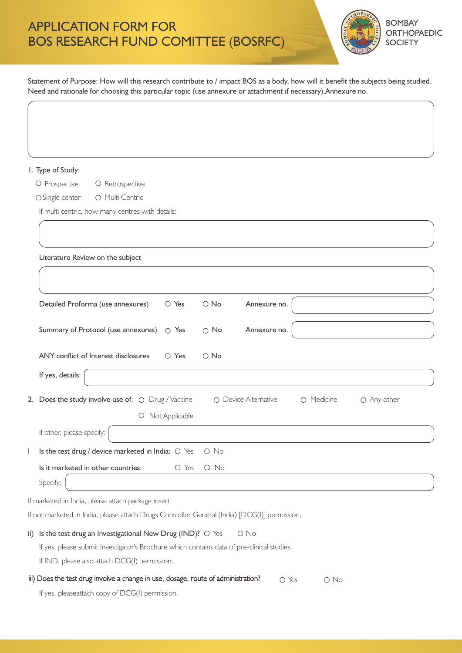$\bigg($ 



Statement of Purpose: How will this research contribute to / impact BOS as a body, how will it benefit the subjects being studied. Need and rationale for choosing this particular topic (use annexure or attachment if necessary).Annexure no.

| I. Type of Study:                                                                                                         |
|---------------------------------------------------------------------------------------------------------------------------|
| O Prospective<br>O Retrospective                                                                                          |
| O Multi Centric<br>O Single center                                                                                        |
| If multi centric, how many centres with details:                                                                          |
|                                                                                                                           |
|                                                                                                                           |
| Literature Review on the subject                                                                                          |
|                                                                                                                           |
|                                                                                                                           |
| Detailed Proforma (use annexures)<br>Annexure no.<br>○ Yes<br>$\circ$ No                                                  |
| $\circ$ No<br>Annexure no.                                                                                                |
|                                                                                                                           |
| ANY conflict of Interest disclosures<br>○ Yes<br>$\circ$ No                                                               |
| If yes, details:                                                                                                          |
| 2. Does the study involve use of: $\bigcirc$ Drug / Vaccine<br>O Device Alternative<br>O Medicine<br>$\bigcirc$ Any other |
| Not Applicable<br>$\circ$                                                                                                 |
|                                                                                                                           |
| If other, please specify:                                                                                                 |
| Is the test drug / device marketed in India: $\bigcirc$ Yes<br>O No                                                       |
| Is it marketed in other countries:<br>O Yes<br>$\circ$ No                                                                 |
| Specify:                                                                                                                  |
| If marketed in India, please attach package insert                                                                        |
| If not marketed in India, please attach Drugs Controller General (India) [DCG(I)] permission.                             |
| ii) Is the test drug an Investigational New Drug (IND)? $\circ$ Yes<br>$\bigcirc$ No                                      |
| If yes, please submit Investigator's Brochure which contains data of pre-clinical studies.                                |
| If IND, please also attach DCG(I) permission.                                                                             |
| iii) Does the test drug involve a change in use, dosage, route of administration?<br>O Yes<br>$\bigcirc$ No               |
| If yes, pleaseattach copy of DCG(I) permission.                                                                           |
|                                                                                                                           |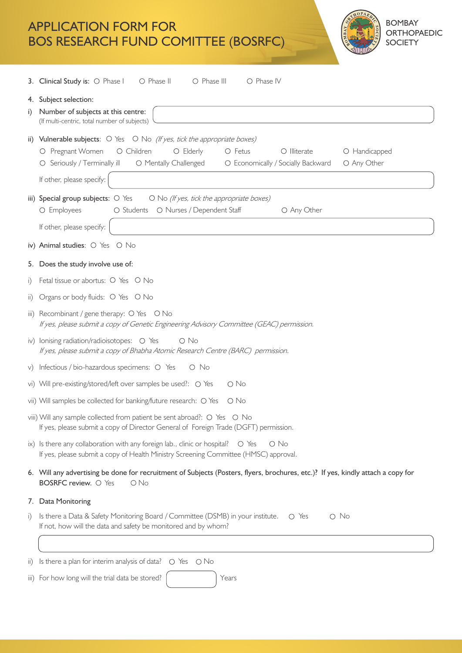

|                     | <b>3. Clinical Study is:</b> $\bigcirc$ Phase I<br>O Phase II<br>O Phase III<br>O Phase IV                                                                                                                                                                                                                                                |  |  |  |  |
|---------------------|-------------------------------------------------------------------------------------------------------------------------------------------------------------------------------------------------------------------------------------------------------------------------------------------------------------------------------------------|--|--|--|--|
| i)                  | 4. Subject selection:<br>Number of subjects at this centre:<br>(If multi-centric, total number of subjects)                                                                                                                                                                                                                               |  |  |  |  |
|                     | ii) Vulnerable subjects: $\bigcirc$ Yes $\bigcirc$ No (If yes, tick the appropriate boxes)<br>O Fetus<br>O Pregnant Women<br>O Children<br>O Elderly<br>$\bigcirc$ Illiterate<br>O Handicapped<br>O Seriously / Terminally ill<br>O Mentally Challenged<br>O Any Other<br>O Economically / Socially Backward<br>If other, please specify: |  |  |  |  |
|                     | iii) Special group subjects: $\bigcirc$ Yes<br>O No (If yes, tick the appropriate boxes)<br>O Students O Nurses / Dependent Staff<br>O Employees<br>O Any Other<br>If other, please specify:                                                                                                                                              |  |  |  |  |
|                     | iv) Animal studies: O Yes O No                                                                                                                                                                                                                                                                                                            |  |  |  |  |
|                     | 5. Does the study involve use of:                                                                                                                                                                                                                                                                                                         |  |  |  |  |
| $\mathbf{i}$        | Fetal tissue or abortus: O Yes O No                                                                                                                                                                                                                                                                                                       |  |  |  |  |
| $\ddot{\mathbf{u}}$ | Organs or body fluids: O Yes O No                                                                                                                                                                                                                                                                                                         |  |  |  |  |
|                     | iii) Recombinant / gene therapy: $\circ$ Yes $\circ$ No<br>If yes, please submit a copy of Genetic Engineering Advisory Committee (GEAC) permission.                                                                                                                                                                                      |  |  |  |  |
|                     | iv) Ionising radiation/radioisotopes: O Yes<br>O No<br>If yes, please submit a copy of Bhabha Atomic Research Centre (BARC) permission.                                                                                                                                                                                                   |  |  |  |  |
|                     | v) Infectious / bio-hazardous specimens: O Yes<br>O No                                                                                                                                                                                                                                                                                    |  |  |  |  |
|                     | vi) Will pre-existing/stored/left over samples be used?: O Yes<br>O No                                                                                                                                                                                                                                                                    |  |  |  |  |
|                     | vii) Will samples be collected for banking/future research: O Yes<br>O No                                                                                                                                                                                                                                                                 |  |  |  |  |
|                     | viii) Will any sample collected from patient be sent abroad?: O Yes O No<br>If yes, please submit a copy of Director General of Foreign Trade (DGFT) permission.                                                                                                                                                                          |  |  |  |  |
|                     | ix) Is there any collaboration with any foreign lab., clinic or hospital?<br>O Yes<br>$\circ$ No<br>If yes, please submit a copy of Health Ministry Screening Committee (HMSC) approval.                                                                                                                                                  |  |  |  |  |
|                     | 6. Will any advertising be done for recruitment of Subjects (Posters, flyers, brochures, etc.)? If yes, kindly attach a copy for<br>BOSRFC review. O Yes<br>$O$ No                                                                                                                                                                        |  |  |  |  |
|                     | 7. Data Monitoring                                                                                                                                                                                                                                                                                                                        |  |  |  |  |
| i)                  | Is there a Data & Safety Monitoring Board / Committee (DSMB) in your institute.<br>$\circ$ Yes<br>$\circ$ No<br>If not, how will the data and safety be monitored and by whom?                                                                                                                                                            |  |  |  |  |
|                     |                                                                                                                                                                                                                                                                                                                                           |  |  |  |  |
| $\ddot{\mathbf{u}}$ | Is there a plan for interim analysis of data?<br>O Yes<br>– O No                                                                                                                                                                                                                                                                          |  |  |  |  |
|                     | iii) For how long will the trial data be stored?<br>Years                                                                                                                                                                                                                                                                                 |  |  |  |  |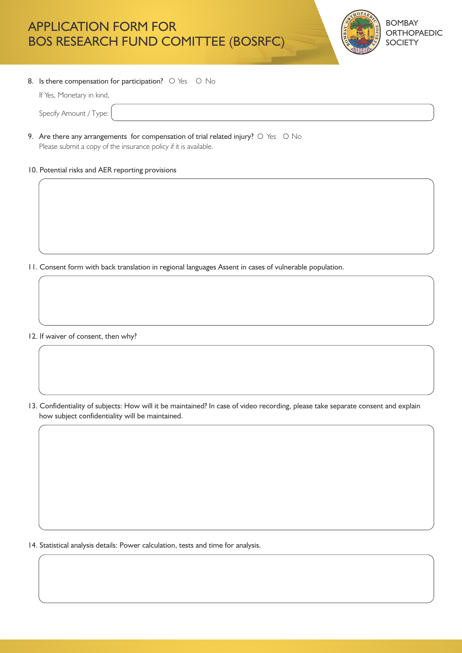

#### 8. Is there compensation for participation?  $\circ$  Yes  $\circ$  No

| If Yes, Monetary in kind, |  |
|---------------------------|--|
| Specify Amount / Type:    |  |

9. Are there any arrangements for compensation of trial related injury?  $\circ$  Yes  $\circ$  No

Please submit a copy of the insurance policy if it is available.

#### 10. Potential risks and AER reporting provisions

11. Consent form with back translation in regional languages Assent in cases of vulnerable population.

12. If waiver of consent, then why?

13. Confidentiality of subjects: How will it be maintained? In case of video recording, please take separate consent and explain how subject confidentiality will be maintained.

14. Statistical analysis details: Power calculation, tests and time for analysis.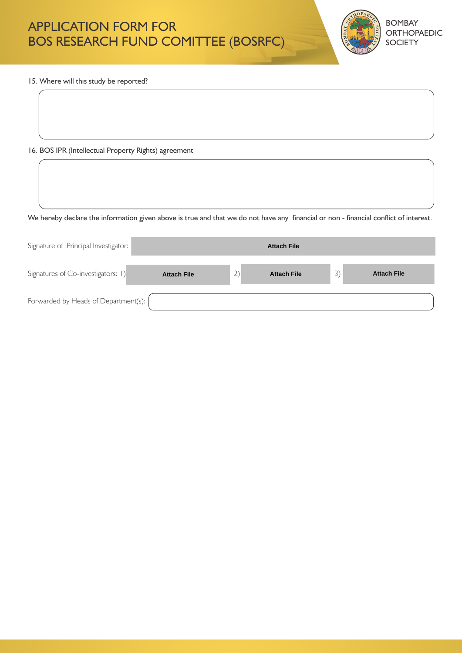

15. Where will this study be reported?

### 16. BOS IPR (Intellectual Property Rights) agreement

We hereby declare the information given above is true and that we do not have any financial or non - financial conflict of interest.

| Signature of Principal Investigator: | <b>Attach File</b> |    |                    |               |                    |
|--------------------------------------|--------------------|----|--------------------|---------------|--------------------|
| Signatures of Co-investigators: 1)   | <b>Attach File</b> | 2) | <b>Attach File</b> | $\mathcal{L}$ | <b>Attach File</b> |
| Forwarded by Heads of Department(s): |                    |    |                    |               |                    |